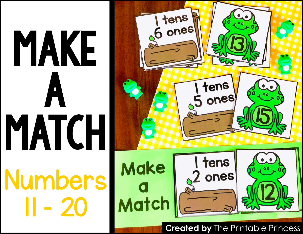

## MAKE Numbers 11 - 20 A<br>- 20<br>- 20 MATCH

**Created by** The Printable Princess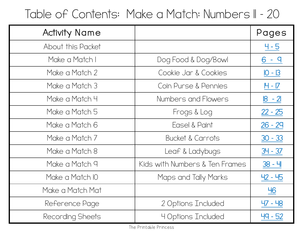## Table of Contents: Make a Match: Numbers II - 20

| <b>Activity Name</b> |                                | Pages           |
|----------------------|--------------------------------|-----------------|
| About this Packet    |                                | $4 - 5$         |
| Make a Match I       | Dog Food & Dog/Bowl            | 6               |
| Make a Match 2       | Cookie Jar & Cookies           | $10 - 13$       |
| Make a Match 3       | Coin Purse & Pennies           | <u> H - IZ</u>  |
| Make a Match 4       | Numbers and Flowers            | <u> 18 - 21</u> |
| Make a Match 5       | Frogs & Log                    | $22 - 25$       |
| Make a Match 6       | Easel & Paint                  | $26 - 29$       |
| Make a Match 7       | Bucket & Carrots               | $30 - 33$       |
| Make a Match 8       | Leaf & Ladybugs                | $34 - 37$       |
| Make a Match 9       | Kids with Numbers & Ten Frames | 38 - 내          |
| Make a Match IO      | Maps and Tally Marks           | $42 - 45$       |
| Make a Match Mat     |                                | <u>46</u>       |
| Reference Page       | 2 Options Included             | 47 - 48         |
| Recording Sheets     | <b>4 Options Included</b>      | 49 - 52         |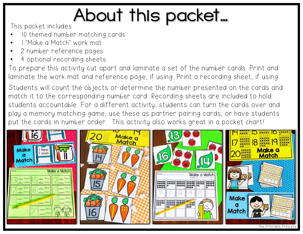## **About this packet includes:**

- 10 themed number matching cards
- 1 "Make a Match" work mat
- 2 number reference pages
- 4 optional recording sheets

To prepare this activity cut apart and laminate a set of the number cards. Print and laminate the work mat and reference page, if using. Print a recording sheet, if using.

Students will count the objects or determine the number presented on the cards and match it to the corresponding number card. Recording sheets are included to hold students accountable. For a different activity, students can turn the cards over and play a memory matching game, use these as partner pairing cards, or have students put the cards in number order. This activity also works great in a pocket chart!